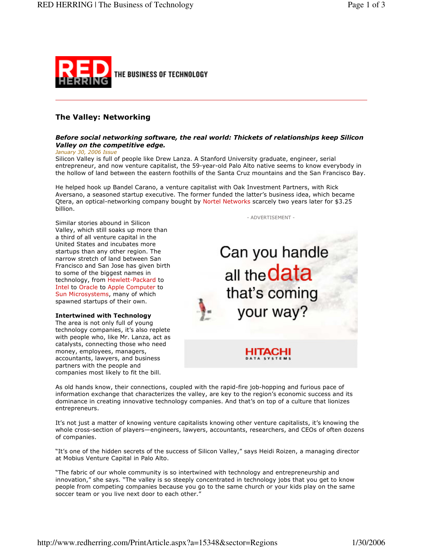

# **The Valley: Networking**

## Before social networking software, the real world: Thickets of relationships keep Silicon Valley on the competitive edge.

January 30, 2006 Issue

Silicon Valley is full of people like Drew Lanza. A Stanford University graduate, engineer, serial entrepreneur, and now venture capitalist, the 59-year-old Palo Alto native seems to know everybody in the hollow of land between the eastern foothills of the Santa Cruz mountains and the San Francisco Bay.

He helped hook up Bandel Carano, a venture capitalist with Oak Investment Partners, with Rick Aversano, a seasoned startup executive. The former funded the latter's business idea, which became Qtera, an optical-networking company bought by Nortel Networks scarcely two years later for \$3.25 billion.

Similar stories abound in Silicon Valley, which still soaks up more than a third of all venture capital in the United States and incubates more startups than any other region. The narrow stretch of land between San Francisco and San Jose has given birth to some of the biggest names in technology, from Hewlett-Packard to Intel to Oracle to Apple Computer to Sun Microsystems, many of which spawned startups of their own.

**Intertwined with Technology** 

The area is not only full of young technology companies, it's also replete with people who, like Mr. Lanza, act as catalysts, connecting those who need money, employees, managers, accountants, lawyers, and business partners with the people and companies most likely to fit the bill.

- ADVERTISEMENT -

Can you handle all the data that's coming your way?

> HITACHI **DATA SYSTEMS**

As old hands know, their connections, coupled with the rapid-fire job-hopping and furious pace of information exchange that characterizes the valley, are key to the region's economic success and its dominance in creating innovative technology companies. And that's on top of a culture that lionizes entrepreneurs.

It's not just a matter of knowing venture capitalists knowing other venture capitalists, it's knowing the whole cross-section of players—engineers, lawyers, accountants, researchers, and CEOs of often dozens of companies.

"It's one of the hidden secrets of the success of Silicon Valley," says Heidi Roizen, a managing director at Mobius Venture Capital in Palo Alto.

"The fabric of our whole community is so intertwined with technology and entrepreneurship and innovation," she says. "The valley is so steeply concentrated in technology jobs that you get to know people from competing companies because you go to the same church or your kids play on the same soccer team or you live next door to each other."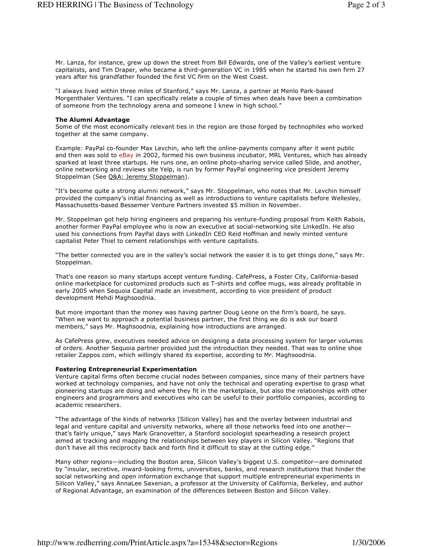Mr. Lanza, for instance, grew up down the street from Bill Edwards, one of the Valley's earliest venture capitalists, and Tim Draper, who became a third-generation VC in 1985 when he started his own firm 27 years after his grandfather founded the first VC firm on the West Coast.

"I always lived within three miles of Stanford," says Mr. Lanza, a partner at Menlo Park-based Morgenthaler Ventures. "I can specifically relate a couple of times when deals have been a combination of someone from the technology arena and someone I knew in high school."

#### **The Alumni Advantage**

Some of the most economically relevant ties in the region are those forged by technophiles who worked together at the same company.

Example: PayPal co-founder Max Levchin, who left the online-payments company after it went public and then was sold to eBay in 2002, formed his own business incubator, MRL Ventures, which has already sparked at least three startups. He runs one, an online photo-sharing service called Slide, and another, online networking and reviews site Yelp, is run by former PayPal engineering vice president Jeremy Stoppelman (See Q&A: Jeremy Stoppelman).

"It's become quite a strong alumni network," says Mr. Stoppelman, who notes that Mr. Levchin himself provided the company's initial financing as well as introductions to venture capitalists before Wellesley, Massachusetts-based Bessemer Venture Partners invested \$5 million in November.

Mr. Stoppelman got help hiring engineers and preparing his venture-funding proposal from Keith Rabois, another former PayPal employee who is now an executive at social-networking site LinkedIn. He also used his connections from PayPal days with LinkedIn CEO Reid Hoffman and newly minted venture capitalist Peter Thiel to cement relationships with venture capitalists.

"The better connected you are in the valley's social network the easier it is to get things done," says Mr. Stoppelman.

That's one reason so many startups accept venture funding. CafePress, a Foster City, California-based online marketplace for customized products such as T-shirts and coffee mugs, was already profitable in early 2005 when Sequoia Capital made an investment, according to vice president of product development Mehdi Maghsoodnia.

But more important than the money was having partner Doug Leone on the firm's board, he says. "When we want to approach a potential business partner, the first thing we do is ask our board members," says Mr. Maghsoodnia, explaining how introductions are arranged.

As CafePress grew, executives needed advice on designing a data processing system for larger volumes of orders. Another Sequoia partner provided just the introduction they needed. That was to online shoe retailer Zappos.com, which willingly shared its expertise, according to Mr. Maghsoodnia.

### **Fostering Entrepreneurial Experimentation**

Venture capital firms often become crucial nodes between companies, since many of their partners have worked at technology companies, and have not only the technical and operating expertise to grasp what pioneering startups are doing and where they fit in the marketplace, but also the relationships with other engineers and programmers and executives who can be useful to their portfolio companies, according to academic researchers.

"The advantage of the kinds of networks [Silicon Valley] has and the overlay between industrial and legal and venture capital and university networks, where all those networks feed into one anotherthat's fairly unique," says Mark Granovetter, a Stanford sociologist spearheading a research project aimed at tracking and mapping the relationships between key players in Silicon Valley. "Regions that don't have all this reciprocity back and forth find it difficult to stay at the cutting edge.'

Many other regions—including the Boston area, Silicon Valley's biggest U.S. competitor—are dominated by "insular, secretive, inward-looking firms, universities, banks, and research institutions that hinder the social networking and open information exchange that support multiple entrepreneurial experiments in Silicon Valley," says AnnaLee Saxenian, a professor at the University of California, Berkeley, and author of Regional Advantage, an examination of the differences between Boston and Silicon Valley.